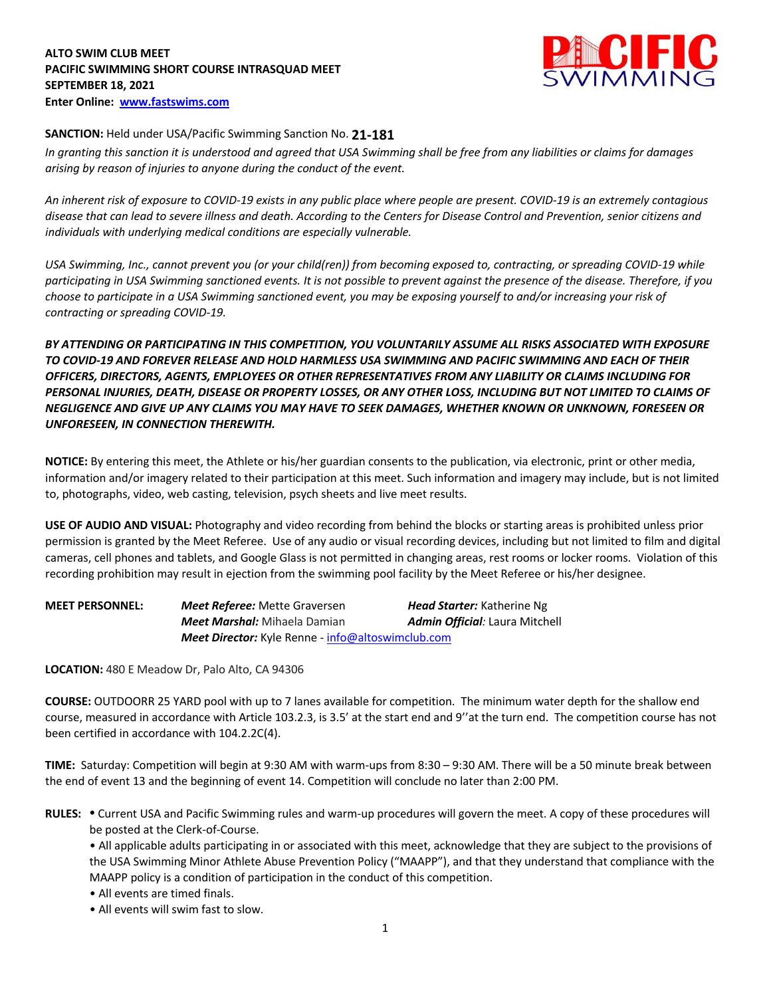# **ALTO SWIM CLUB MEET PACIFIC SWIMMING SHORT COURSE INTRASQUAD MEET SEPTEMBER 18, 2021 Enter Online: www.fastswims.com**



## **SANCTION:** Held under USA/Pacific Swimming Sanction No. **21-181**

*In granting this sanction it is understood and agreed that USA Swimming shall be free from any liabilities or claims for damages arising by reason of injuries to anyone during the conduct of the event.* 

*An inherent risk of exposure to COVID-19 exists in any public place where people are present. COVID-19 is an extremely contagious disease that can lead to severe illness and death. According to the Centers for Disease Control and Prevention, senior citizens and individuals with underlying medical conditions are especially vulnerable.*

*USA Swimming, Inc., cannot prevent you (or your child(ren)) from becoming exposed to, contracting, or spreading COVID-19 while participating in USA Swimming sanctioned events. It is not possible to prevent against the presence of the disease. Therefore, if you choose to participate in a USA Swimming sanctioned event, you may be exposing yourself to and/or increasing your risk of contracting or spreading COVID-19.*

*BY ATTENDING OR PARTICIPATING IN THIS COMPETITION, YOU VOLUNTARILY ASSUME ALL RISKS ASSOCIATED WITH EXPOSURE TO COVID-19 AND FOREVER RELEASE AND HOLD HARMLESS USA SWIMMING AND PACIFIC SWIMMING AND EACH OF THEIR OFFICERS, DIRECTORS, AGENTS, EMPLOYEES OR OTHER REPRESENTATIVES FROM ANY LIABILITY OR CLAIMS INCLUDING FOR PERSONAL INJURIES, DEATH, DISEASE OR PROPERTY LOSSES, OR ANY OTHER LOSS, INCLUDING BUT NOT LIMITED TO CLAIMS OF NEGLIGENCE AND GIVE UP ANY CLAIMS YOU MAY HAVE TO SEEK DAMAGES, WHETHER KNOWN OR UNKNOWN, FORESEEN OR UNFORESEEN, IN CONNECTION THEREWITH.*

**NOTICE:** By entering this meet, the Athlete or his/her guardian consents to the publication, via electronic, print or other media, information and/or imagery related to their participation at this meet. Such information and imagery may include, but is not limited to, photographs, video, web casting, television, psych sheets and live meet results.

**USE OF AUDIO AND VISUAL:** Photography and video recording from behind the blocks or starting areas is prohibited unless prior permission is granted by the Meet Referee. Use of any audio or visual recording devices, including but not limited to film and digital cameras, cell phones and tablets, and Google Glass is not permitted in changing areas, rest rooms or locker rooms. Violation of this recording prohibition may result in ejection from the swimming pool facility by the Meet Referee or his/her designee.

| <b>MEET PERSONNEL:</b> | <b>Meet Referee:</b> Mette Graversen                     | <b>Head Starter:</b> Katherine Ng     |
|------------------------|----------------------------------------------------------|---------------------------------------|
|                        | <b>Meet Marshal:</b> Mihaela Damian                      | <b>Admin Official:</b> Laura Mitchell |
|                        | <b>Meet Director:</b> Kyle Renne - info@altoswimclub.com |                                       |

**LOCATION:** 480 E Meadow Dr, Palo Alto, CA 94306

**COURSE:** OUTDOORR 25 YARD pool with up to 7 lanes available for competition. The minimum water depth for the shallow end course, measured in accordance with Article 103.2.3, is 3.5' at the start end and 9''at the turn end. The competition course has not been certified in accordance with 104.2.2C(4).

**TIME:** Saturday: Competition will begin at 9:30 AM with warm-ups from 8:30 – 9:30 AM. There will be a 50 minute break between the end of event 13 and the beginning of event 14. Competition will conclude no later than 2:00 PM.

**RULES: •** Current USA and Pacific Swimming rules and warm-up procedures will govern the meet. A copy of these procedures will be posted at the Clerk-of-Course.

• All applicable adults participating in or associated with this meet, acknowledge that they are subject to the provisions of the USA Swimming Minor Athlete Abuse Prevention Policy ("MAAPP"), and that they understand that compliance with the MAAPP policy is a condition of participation in the conduct of this competition.

- All events are timed finals.
- All events will swim fast to slow.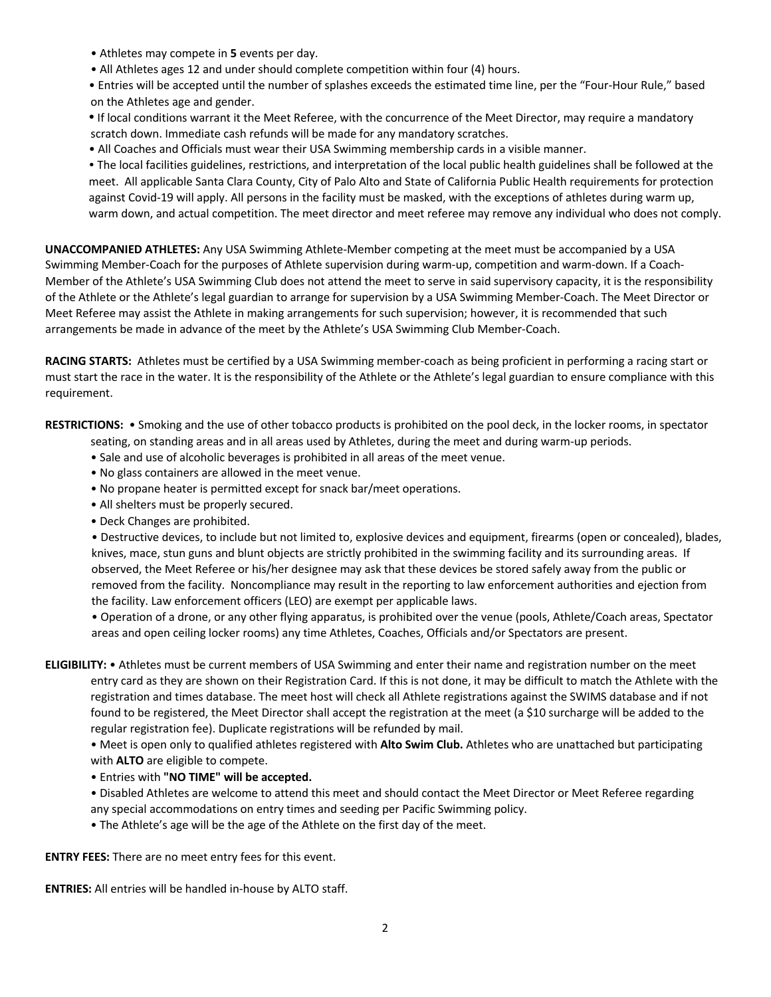- Athletes may compete in **5** events per day.
- All Athletes ages 12 and under should complete competition within four (4) hours.
- Entries will be accepted until the number of splashes exceeds the estimated time line, per the "Four-Hour Rule," based on the Athletes age and gender.
- **•** If local conditions warrant it the Meet Referee, with the concurrence of the Meet Director, may require a mandatory scratch down. Immediate cash refunds will be made for any mandatory scratches.
- All Coaches and Officials must wear their USA Swimming membership cards in a visible manner.
- The local facilities guidelines, restrictions, and interpretation of the local public health guidelines shall be followed at the meet. All applicable Santa Clara County, City of Palo Alto and State of California Public Health requirements for protection against Covid-19 will apply. All persons in the facility must be masked, with the exceptions of athletes during warm up, warm down, and actual competition. The meet director and meet referee may remove any individual who does not comply.

**UNACCOMPANIED ATHLETES:** Any USA Swimming Athlete-Member competing at the meet must be accompanied by a USA Swimming Member-Coach for the purposes of Athlete supervision during warm-up, competition and warm-down. If a Coach-Member of the Athlete's USA Swimming Club does not attend the meet to serve in said supervisory capacity, it is the responsibility of the Athlete or the Athlete's legal guardian to arrange for supervision by a USA Swimming Member-Coach. The Meet Director or Meet Referee may assist the Athlete in making arrangements for such supervision; however, it is recommended that such arrangements be made in advance of the meet by the Athlete's USA Swimming Club Member-Coach.

**RACING STARTS:** Athletes must be certified by a USA Swimming member-coach as being proficient in performing a racing start or must start the race in the water. It is the responsibility of the Athlete or the Athlete's legal guardian to ensure compliance with this requirement.

**RESTRICTIONS:** • Smoking and the use of other tobacco products is prohibited on the pool deck, in the locker rooms, in spectator seating, on standing areas and in all areas used by Athletes, during the meet and during warm-up periods.

- Sale and use of alcoholic beverages is prohibited in all areas of the meet venue.
- No glass containers are allowed in the meet venue.
- No propane heater is permitted except for snack bar/meet operations.
- All shelters must be properly secured.
- Deck Changes are prohibited.

 • Destructive devices, to include but not limited to, explosive devices and equipment, firearms (open or concealed), blades, knives, mace, stun guns and blunt objects are strictly prohibited in the swimming facility and its surrounding areas. If observed, the Meet Referee or his/her designee may ask that these devices be stored safely away from the public or removed from the facility. Noncompliance may result in the reporting to law enforcement authorities and ejection from the facility. Law enforcement officers (LEO) are exempt per applicable laws.

 • Operation of a drone, or any other flying apparatus, is prohibited over the venue (pools, Athlete/Coach areas, Spectator areas and open ceiling locker rooms) any time Athletes, Coaches, Officials and/or Spectators are present.

**ELIGIBILITY:** • Athletes must be current members of USA Swimming and enter their name and registration number on the meet entry card as they are shown on their Registration Card. If this is not done, it may be difficult to match the Athlete with the registration and times database. The meet host will check all Athlete registrations against the SWIMS database and if not found to be registered, the Meet Director shall accept the registration at the meet (a \$10 surcharge will be added to the regular registration fee). Duplicate registrations will be refunded by mail.

• Meet is open only to qualified athletes registered with **Alto Swim Club.** Athletes who are unattached but participating with **ALTO** are eligible to compete.

- Entries with **"NO TIME" will be accepted.**
- Disabled Athletes are welcome to attend this meet and should contact the Meet Director or Meet Referee regarding any special accommodations on entry times and seeding per Pacific Swimming policy.
- The Athlete's age will be the age of the Athlete on the first day of the meet.

**ENTRY FEES:** There are no meet entry fees for this event.

**ENTRIES:** All entries will be handled in-house by ALTO staff.